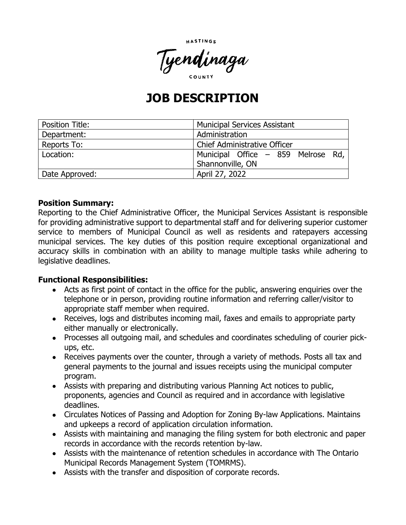



# **JOB DESCRIPTION**

| <b>Position Title:</b> | <b>Municipal Services Assistant</b> |
|------------------------|-------------------------------------|
| Department:            | Administration                      |
| Reports To:            | Chief Administrative Officer        |
| Location:              | Municipal Office - 859 Melrose Rd,  |
|                        | Shannonville, ON                    |
| Date Approved:         | April 27, 2022                      |

#### **Position Summary:**

Reporting to the Chief Administrative Officer, the Municipal Services Assistant is responsible for providing administrative support to departmental staff and for delivering superior customer service to members of Municipal Council as well as residents and ratepayers accessing municipal services. The key duties of this position require exceptional organizational and accuracy skills in combination with an ability to manage multiple tasks while adhering to legislative deadlines.

#### **Functional Responsibilities:**

- Acts as first point of contact in the office for the public, answering enquiries over the telephone or in person, providing routine information and referring caller/visitor to appropriate staff member when required.
- Receives, logs and distributes incoming mail, faxes and emails to appropriate party either manually or electronically.
- Processes all outgoing mail, and schedules and coordinates scheduling of courier pickups, etc.
- Receives payments over the counter, through a variety of methods. Posts all tax and general payments to the journal and issues receipts using the municipal computer program.
- Assists with preparing and distributing various Planning Act notices to public, proponents, agencies and Council as required and in accordance with legislative deadlines.
- Circulates Notices of Passing and Adoption for Zoning By-law Applications. Maintains and upkeeps a record of application circulation information.
- Assists with maintaining and managing the filing system for both electronic and paper records in accordance with the records retention by-law.
- Assists with the maintenance of retention schedules in accordance with The Ontario Municipal Records Management System (TOMRMS).
- Assists with the transfer and disposition of corporate records.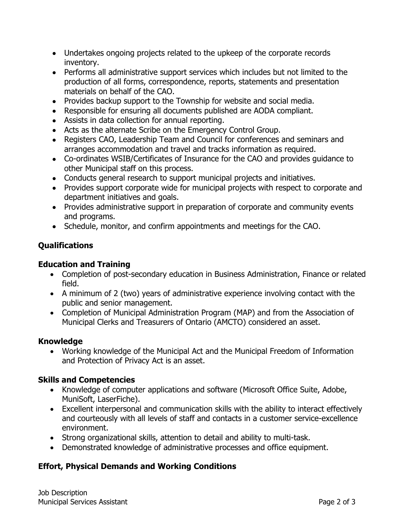- Undertakes ongoing projects related to the upkeep of the corporate records inventory.
- Performs all administrative support services which includes but not limited to the production of all forms, correspondence, reports, statements and presentation materials on behalf of the CAO.
- Provides backup support to the Township for website and social media.
- Responsible for ensuring all documents published are AODA compliant.
- Assists in data collection for annual reporting.
- Acts as the alternate Scribe on the Emergency Control Group.
- Registers CAO, Leadership Team and Council for conferences and seminars and arranges accommodation and travel and tracks information as required.
- Co-ordinates WSIB/Certificates of Insurance for the CAO and provides guidance to other Municipal staff on this process.
- Conducts general research to support municipal projects and initiatives.
- Provides support corporate wide for municipal projects with respect to corporate and department initiatives and goals.
- Provides administrative support in preparation of corporate and community events and programs.
- Schedule, monitor, and confirm appointments and meetings for the CAO.

## **Qualifications**

#### **Education and Training**

- Completion of post-secondary education in Business Administration, Finance or related field.
- A minimum of 2 (two) years of administrative experience involving contact with the public and senior management.
- Completion of Municipal Administration Program (MAP) and from the Association of Municipal Clerks and Treasurers of Ontario (AMCTO) considered an asset.

#### **Knowledge**

• Working knowledge of the Municipal Act and the Municipal Freedom of Information and Protection of Privacy Act is an asset.

## **Skills and Competencies**

- Knowledge of computer applications and software (Microsoft Office Suite, Adobe, MuniSoft, LaserFiche).
- Excellent interpersonal and communication skills with the ability to interact effectively and courteously with all levels of staff and contacts in a customer service-excellence environment.
- Strong organizational skills, attention to detail and ability to multi-task.
- Demonstrated knowledge of administrative processes and office equipment.

## **Effort, Physical Demands and Working Conditions**